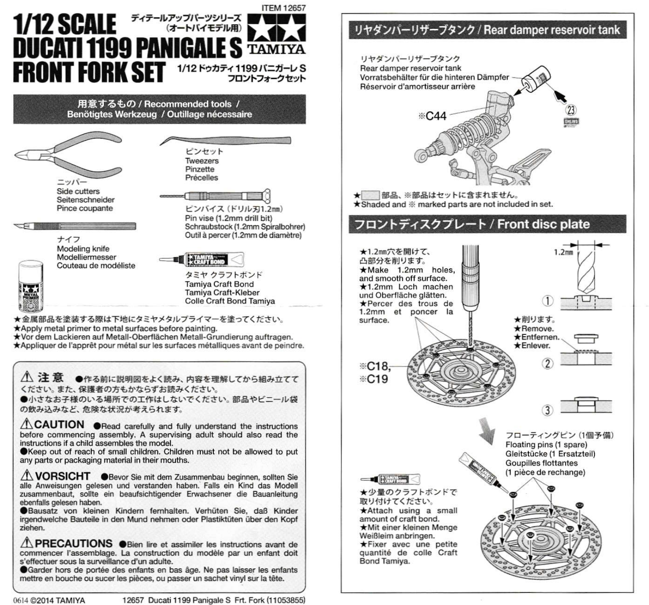